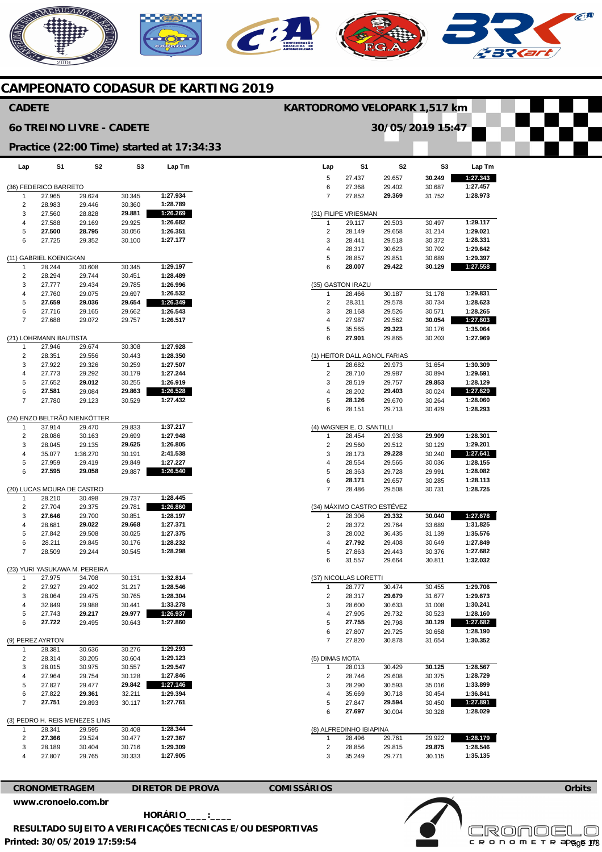# **AERICANO**  $\epsilon$ A  $\mathbf{C}$

# **CAMPEONATO CODASUR DE KARTING 2019**

## **CADETE**

#### **6o TREINO LIVRE - CADETE**

# **KARTODROMO VELOPARK 1,517 km**

**S1** 

**Lap** 

**30/05/2019 15:47** 

**S2** 

**S3** 

**Lap Tm** 

**Practice (22:00 Time) started at 17:34:33** 

| Lap                    | S1                         | S2                             | S3               | Lap Tm               |  |  |  |  |  |  |  |
|------------------------|----------------------------|--------------------------------|------------------|----------------------|--|--|--|--|--|--|--|
|                        |                            |                                |                  |                      |  |  |  |  |  |  |  |
| (36) FEDERICO BARRETO  |                            |                                |                  |                      |  |  |  |  |  |  |  |
| 1                      | 27.965                     | 29.624                         | 30.345           | 1:27.934             |  |  |  |  |  |  |  |
| 2                      | 28.983                     | 29.446                         | 30.360           | 1:28.789             |  |  |  |  |  |  |  |
| 3                      | 27.560                     | 28.828                         | 29.881           | 1:26.269             |  |  |  |  |  |  |  |
| 4                      | 27.588                     | 29.169                         | 29.925           | 1:26.682             |  |  |  |  |  |  |  |
| 5                      | 27.500                     | 28.795                         | 30.056           | 1:26.351             |  |  |  |  |  |  |  |
| 6                      | 27.725                     | 29.352                         | 30.100           | 1:27.177             |  |  |  |  |  |  |  |
| (11) GABRIEL KOENIGKAN |                            |                                |                  |                      |  |  |  |  |  |  |  |
|                        |                            |                                |                  |                      |  |  |  |  |  |  |  |
| 1                      | 28.244                     | 30.608                         | 30.345           | 1:29.197<br>1:28.489 |  |  |  |  |  |  |  |
| 2                      | 28.294<br>27.777           | 29.744                         | 30.451<br>29.785 | 1:26.996             |  |  |  |  |  |  |  |
| 3<br>4                 | 27.760                     | 29.434<br>29.075               | 29.697           | 1:26.532             |  |  |  |  |  |  |  |
| 5                      | 27.659                     | 29.036                         | 29.654           | 1:26.349             |  |  |  |  |  |  |  |
| 6                      | 27.716                     | 29.165                         | 29.662           | 1:26.543             |  |  |  |  |  |  |  |
| 7                      | 27.688                     | 29.072                         | 29.757           | 1:26.517             |  |  |  |  |  |  |  |
|                        |                            |                                |                  |                      |  |  |  |  |  |  |  |
|                        | (21) LOHRMANN BAUTISTA     |                                |                  |                      |  |  |  |  |  |  |  |
| 1                      | 27.946                     | 29.674                         | 30.308           | 1:27.928             |  |  |  |  |  |  |  |
| 2                      | 28.351                     | 29.556                         | 30.443           | 1:28.350             |  |  |  |  |  |  |  |
| 3                      | 27.922                     | 29.326                         | 30.259           | 1:27.507             |  |  |  |  |  |  |  |
| 4                      | 27.773                     | 29.292                         | 30.179           | 1:27.244             |  |  |  |  |  |  |  |
| 5                      | 27.652                     | 29.012                         | 30.255           | 1:26.919             |  |  |  |  |  |  |  |
| 6                      | 27.581                     | 29.084                         | 29.863           | 1:26.528             |  |  |  |  |  |  |  |
| 7                      | 27.780                     | 29.123                         | 30.529           | 1:27.432             |  |  |  |  |  |  |  |
|                        |                            |                                |                  |                      |  |  |  |  |  |  |  |
|                        |                            | (24) ENZO BELTRÃO NIENKÖTTER   |                  |                      |  |  |  |  |  |  |  |
| 1                      | 37.914                     | 29.470                         | 29.833           | 1:37.217             |  |  |  |  |  |  |  |
| 2                      | 28.086                     | 30.163                         | 29.699           | 1:27.948             |  |  |  |  |  |  |  |
| 3                      | 28.045                     | 29.135                         | 29.625           | 1:26.805             |  |  |  |  |  |  |  |
| 4                      | 35.077                     | 1:36.270                       | 30.191           | 2:41.538             |  |  |  |  |  |  |  |
| 5                      | 27.959                     | 29.419                         | 29.849           | 1:27.227             |  |  |  |  |  |  |  |
| 6                      | 27.595                     | 29.058                         | 29.887           | 1:26.540             |  |  |  |  |  |  |  |
|                        |                            |                                |                  |                      |  |  |  |  |  |  |  |
|                        | (20) LUCAS MOURA DE CASTRO |                                |                  |                      |  |  |  |  |  |  |  |
| 1                      | 28.210                     | 30.498                         | 29.737           | 1:28.445             |  |  |  |  |  |  |  |
| 2<br>3                 | 27.704<br>27.646           | 29.375<br>29.700               | 29.781<br>30.851 | 1:26.860<br>1:28.197 |  |  |  |  |  |  |  |
| 4                      | 28.681                     | 29.022                         | 29.668           | 1:27.371             |  |  |  |  |  |  |  |
| 5                      | 27.842                     | 29.508                         | 30.025           | 1:27.375             |  |  |  |  |  |  |  |
| 6                      | 28.211                     | 29.845                         | 30.176           | 1:28.232             |  |  |  |  |  |  |  |
| 7                      | 28.509                     | 29.244                         | 30.545           | 1:28.298             |  |  |  |  |  |  |  |
|                        |                            |                                |                  |                      |  |  |  |  |  |  |  |
|                        |                            | (23) YURI YASUKAWA M. PEREIRA  |                  |                      |  |  |  |  |  |  |  |
| 1                      | 27.975                     | 34.708                         | 30.131           | 1:32.814             |  |  |  |  |  |  |  |
| 2                      | 27.927                     | 29.402                         | 31.217           | 1:28.546             |  |  |  |  |  |  |  |
| 3                      | 28.064                     | 29.475                         | 30.765           | 1:28.304             |  |  |  |  |  |  |  |
| 4                      | 32.849                     | 29.988                         | 30.441           | 1:33.278             |  |  |  |  |  |  |  |
| 5                      | 27.743                     | 29.217                         | 29.977           | 1:26.937             |  |  |  |  |  |  |  |
| 6                      | 27.722                     | 29.495                         | 30.643           | 1:27.860             |  |  |  |  |  |  |  |
|                        |                            |                                |                  |                      |  |  |  |  |  |  |  |
|                        | (9) PEREZ AYRTON           |                                |                  |                      |  |  |  |  |  |  |  |
| 1                      | 28.381                     | 30.636                         | 30.276           | 1:29.293             |  |  |  |  |  |  |  |
| 2                      | 28.314                     | 30.205                         | 30.604           | 1:29.123             |  |  |  |  |  |  |  |
| 3                      | 28.015                     | 30.975                         | 30.557           | 1:29.547             |  |  |  |  |  |  |  |
| 4                      | 27.964                     | 29.754                         | 30.128           | 1:27.846             |  |  |  |  |  |  |  |
| 5                      | 27.827                     | 29.477                         | 29.842           | 1:27.146             |  |  |  |  |  |  |  |
| 6                      | 27.822                     | 29.361                         | 32.211           | 1:29.394<br>1:27.761 |  |  |  |  |  |  |  |
| 7                      | 27.751                     | 29.893                         | 30.117           |                      |  |  |  |  |  |  |  |
|                        |                            | (3) PEDRO H. REIS MENEZES LINS |                  |                      |  |  |  |  |  |  |  |
| 1                      | 28.341                     | 29.595                         | 30.408           | 1:28.344             |  |  |  |  |  |  |  |
| 2                      | 27.366                     | 29.524                         | 30.477           | 1:27.367             |  |  |  |  |  |  |  |
| 3                      | 28.189                     | 30.404                         | 30.716           | 1:29.309             |  |  |  |  |  |  |  |
| 4                      | 27.807                     | 29.765                         | 30.333           | 1:27.905             |  |  |  |  |  |  |  |
|                        |                            |                                |                  |                      |  |  |  |  |  |  |  |

| 5                 | 27.437                       | 29.657           | 30.249 | 1:27.343             |  |  |  |  |  |
|-------------------|------------------------------|------------------|--------|----------------------|--|--|--|--|--|
| 6                 | 27.368                       | 29.402           | 30.687 | 1:27.457             |  |  |  |  |  |
| 7                 | 27.852                       | 29.369           | 31.752 | 1:28.973             |  |  |  |  |  |
|                   |                              |                  |        |                      |  |  |  |  |  |
|                   | (31) FILIPE VRIESMAN         |                  |        |                      |  |  |  |  |  |
| 1                 | 29.117                       | 29.503           | 30.497 | 1:29.117             |  |  |  |  |  |
| 2                 | 28.149                       | 29.658           | 31.214 | 1:29.021             |  |  |  |  |  |
| 3                 | 28.441                       | 29.518           | 30.372 | 1:28.331             |  |  |  |  |  |
| 4                 | 28.317                       | 30.623           | 30.702 | 1:29.642             |  |  |  |  |  |
| 5                 | 28.857                       | 29.851           | 30.689 | 1:29.397             |  |  |  |  |  |
| 6                 | 28.007                       | 29.422           | 30.129 | 1:27.558             |  |  |  |  |  |
| (35) GASTON IRAZU |                              |                  |        |                      |  |  |  |  |  |
| 1                 | 28.466                       | 30.187           | 31.178 | 1:29.831             |  |  |  |  |  |
| 2                 | 28.311                       | 29.578           | 30.734 | 1:28.623             |  |  |  |  |  |
| 3                 | 28.168                       | 29.526           | 30.571 | 1:28.265             |  |  |  |  |  |
| 4                 | 27.987                       | 29.562           | 30.054 | 1:27.603             |  |  |  |  |  |
| 5                 | 35.565                       | 29.323           | 30.176 | 1:35.064             |  |  |  |  |  |
| 6                 | 27.901                       | 29.865           | 30.203 | 1:27.969             |  |  |  |  |  |
|                   |                              |                  |        |                      |  |  |  |  |  |
|                   | (1) HEITOR DALL AGNOL FARIAS |                  |        |                      |  |  |  |  |  |
| 1                 | 28.682                       | 29.973           | 31.654 | 1:30.309             |  |  |  |  |  |
| 2                 | 28.710                       | 29.987           | 30.894 | 1:29.591             |  |  |  |  |  |
| 3                 | 28.519                       | 29.757           | 29.853 | 1:28.129             |  |  |  |  |  |
| 4                 | 28.202                       | 29.403           | 30.024 | 1:27.629             |  |  |  |  |  |
| 5                 | 28.126                       | 29.670           | 30.264 | 1:28.060             |  |  |  |  |  |
| 6                 | 28.151                       | 29.713           | 30.429 | 1:28.293             |  |  |  |  |  |
|                   |                              |                  |        |                      |  |  |  |  |  |
| 1                 | (4) WAGNER E. O. SANTILLI    |                  | 29.909 | 1:28.301             |  |  |  |  |  |
|                   | 28.454                       | 29.938           |        | 1:29.201             |  |  |  |  |  |
| 2                 | 29.560                       | 29.512<br>29.228 | 30.129 |                      |  |  |  |  |  |
| 3                 | 28.173<br>28.554             |                  | 30.240 | 1:27.641<br>1:28.155 |  |  |  |  |  |
| 4                 |                              | 29.565           | 30.036 |                      |  |  |  |  |  |
| 5                 | 28.363                       | 29.728           | 29.991 | 1:28.082             |  |  |  |  |  |
| 6                 | 28.171                       | 29.657           | 30.285 | 1:28.113             |  |  |  |  |  |
| 7                 | 28.486                       | 29.508           | 30.731 | 1:28.725             |  |  |  |  |  |
|                   | (34) MÁXIMO CASTRO ESTÉVEZ   |                  |        |                      |  |  |  |  |  |
| 1                 | 28.306                       | 29.332           | 30.040 | 1:27.678             |  |  |  |  |  |
| 2                 | 28.372                       | 29.764           | 33.689 | 1:31.825             |  |  |  |  |  |
| 3                 | 28.002                       | 36.435           | 31.139 | 1:35.576             |  |  |  |  |  |
| 4                 | 27.792                       | 29.408           | 30.649 | 1:27.849             |  |  |  |  |  |
| 5                 | 27.863                       | 29.443           | 30.376 | 1:27.682             |  |  |  |  |  |
| 6                 | 31.557                       | 29.664           | 30.811 | 1:32.032             |  |  |  |  |  |
|                   | (37) NICOLLAS LORETTI        |                  |        |                      |  |  |  |  |  |
| 1                 | 28.777                       | 30.474           | 30.455 | 1:29.706             |  |  |  |  |  |
| 2                 | 28.317                       | 29.679           | 31.677 | 1:29.673             |  |  |  |  |  |
| 3                 | 28.600                       | 30.633           | 31.008 | 1:30.241             |  |  |  |  |  |
| 4                 | 27.905                       | 29.732           | 30.523 | 1:28.160             |  |  |  |  |  |
| 5                 | 27.755                       | 29.798           | 30.129 | 1:27.682             |  |  |  |  |  |
| 6                 | 27.807                       | 29.725           | 30.658 | 1:28.190             |  |  |  |  |  |
| 7                 | 27.820                       | 30.878           | 31.654 | 1:30.352             |  |  |  |  |  |
|                   |                              |                  |        |                      |  |  |  |  |  |
| (5) DIMAS MOTA    |                              |                  |        |                      |  |  |  |  |  |
| 1                 | 28.013                       | 30.429           | 30.125 | 1:28.567             |  |  |  |  |  |
| 2                 | 28.746                       | 29.608           | 30.375 | 1:28.729             |  |  |  |  |  |
| 3                 | 28.290                       | 30.593           | 35.016 | 1:33.899             |  |  |  |  |  |
| 4                 | 35.669                       | 30.718           | 30.454 | 1:36.841             |  |  |  |  |  |
| 5                 | 27.847                       | 29.594           | 30.450 | 1:27.891             |  |  |  |  |  |
| 6                 | 27.697                       | 30.004           | 30.328 | 1:28.029             |  |  |  |  |  |
|                   | (8) ALFREDINHO IBIAPINA      |                  |        |                      |  |  |  |  |  |
| 1                 | 28.496                       | 29.761           | 29.922 | 1:28.179             |  |  |  |  |  |
| 2                 | 28.856                       | 29.815           | 29.875 | 1:28.546             |  |  |  |  |  |
| 3                 | 35.249                       | 29.771           | 30.115 | 1:35.135             |  |  |  |  |  |





**Printed: 30/05/2019 17:59:54 [www.cronoelo.com.br](http://www.cronoelo.com.br) HORÁRIO\_\_\_\_:\_\_\_\_ RESULTADO SUJEITO A VERIFICAÇÕES TECNICAS E/OU DESPORTIVAS** 

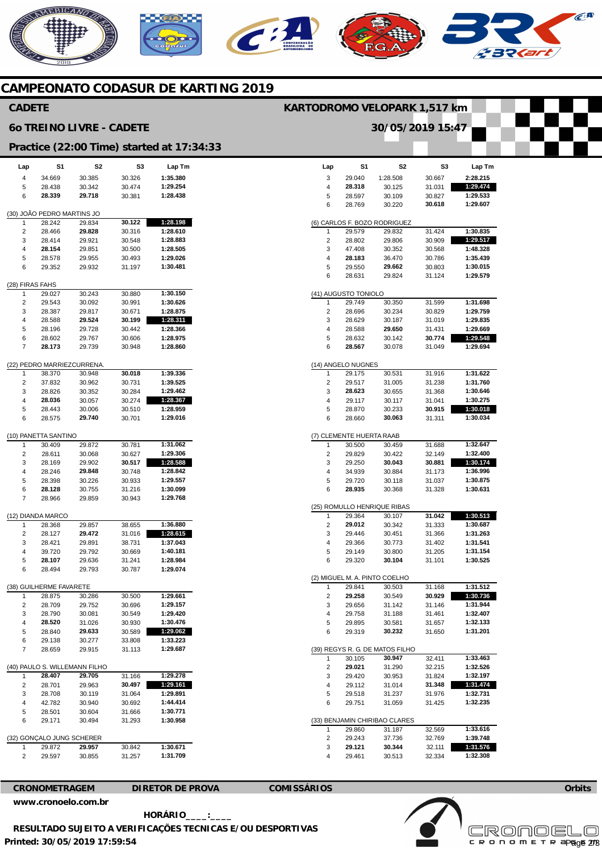# NERICANO  $\epsilon$ **A**

# **CAMPEONATO CODASUR DE KARTING 2019**

## **CADETE**

#### **6o TREINO LIVRE - CADETE**

#### **KARTODROMO VELOPARK 1,517 km**

**30/05/2019 15:47** 

**Practice (22:00 Time) started at 17:34:33** 

|                 |                                         |                  |    | Practice (22:00 Time) started at |                      | 17:    |  |  |  |  |  |
|-----------------|-----------------------------------------|------------------|----|----------------------------------|----------------------|--------|--|--|--|--|--|
| Lap             | S1                                      |                  | S2 | S3                               |                      | Lap Tm |  |  |  |  |  |
| 4               | 34.669                                  | 30.385           |    | 30.326                           | 1:35.380             |        |  |  |  |  |  |
| 5               | 28.438                                  | 30.342           |    | 30.474                           | 1:29.254             |        |  |  |  |  |  |
| 6               | 28.339                                  | 29.718           |    | 30.381                           | 1:28.438             |        |  |  |  |  |  |
|                 | (30) JOÃO PEDRO MARTINS JO              |                  |    |                                  |                      |        |  |  |  |  |  |
| 1               | 28.242                                  | 29.834           |    | 30.122                           | 1:28.198             |        |  |  |  |  |  |
| 2               | 28.466                                  | 29.828           |    | 30.316                           | 1:28.610             |        |  |  |  |  |  |
| 3               | 28.414                                  | 29.921           |    | 30.548                           | 1:28.883             |        |  |  |  |  |  |
| 4               | 28.154                                  | 29.851           |    | 30.500                           | 1:28.505             |        |  |  |  |  |  |
| 5               | 28.578                                  | 29.955           |    | 30.493                           | 1:29.026             |        |  |  |  |  |  |
| 6               | 29.352                                  | 29.932           |    | 31.197                           | 1:30.481             |        |  |  |  |  |  |
| (28) FIRAS FAHS |                                         |                  |    |                                  |                      |        |  |  |  |  |  |
| 1               | 29.027                                  | 30.243           |    | 30.880                           | 1:30.150             |        |  |  |  |  |  |
| 2               | 29.543                                  | 30.092           |    | 30.991                           | 1:30.626             |        |  |  |  |  |  |
| 3               | 28.387                                  | 29.817           |    | 30.671                           | 1:28.875             |        |  |  |  |  |  |
| 4               | 28.588                                  | 29.524           |    | 30.199                           | 1:28.311             |        |  |  |  |  |  |
| 5               | 28.196                                  | 29.728           |    | 30.442                           | 1:28.366             |        |  |  |  |  |  |
| 6               | 28.602                                  | 29.767           |    | 30.606                           | 1:28.975             |        |  |  |  |  |  |
| 7               | 28.173                                  | 29.739           |    | 30.948                           | 1:28.860             |        |  |  |  |  |  |
|                 | (22) PEDRO MARRIEZCURRENA.              |                  |    |                                  |                      |        |  |  |  |  |  |
| 1               | 38.370                                  | 30.948           |    | 30.018                           | 1:39.336             |        |  |  |  |  |  |
| 2               | 37.832                                  | 30.962           |    | 30.731                           | 1:39.525             |        |  |  |  |  |  |
| 3               | 28.826                                  | 30.352           |    | 30.284                           | 1:29.462             |        |  |  |  |  |  |
| 4               | 28.036<br>28.443                        | 30.057           |    | 30.274                           | 1:28.367<br>1:28.959 |        |  |  |  |  |  |
| 5<br>6          | 28.575                                  | 30.006<br>29.740 |    | 30.510<br>30.701                 | 1:29.016             |        |  |  |  |  |  |
|                 |                                         |                  |    |                                  |                      |        |  |  |  |  |  |
|                 | (10) PANETTA SANTINO                    |                  |    |                                  |                      |        |  |  |  |  |  |
| 1               | 30.409                                  | 29.872           |    | 30.781                           | 1:31.062             |        |  |  |  |  |  |
| 2               | 28.611                                  | 30.068           |    | 30.627                           | 1:29.306             |        |  |  |  |  |  |
| 3               | 28.169                                  | 29.902           |    | 30.517                           | 1:28.588             |        |  |  |  |  |  |
| 4               | 28.246                                  | 29.848           |    | 30.748                           | 1:28.842             |        |  |  |  |  |  |
| 5               | 28.398                                  | 30.226           |    | 30.933                           | 1:29.557             |        |  |  |  |  |  |
| 6               | 28.128                                  | 30.755           |    | 31.216                           | 1:30.099             |        |  |  |  |  |  |
| 7               | 28.966                                  | 29.859           |    | 30.943                           | 1:29.768             |        |  |  |  |  |  |
|                 | (12) DIANDA MARCO                       |                  |    |                                  |                      |        |  |  |  |  |  |
| 1<br>2          | 28.368                                  | 29.857<br>29.472 |    | 38.655                           | 1:36.880<br>1:28.615 |        |  |  |  |  |  |
| 3               | 28.127<br>28.421                        | 29.891           |    | 31.016<br>38.731                 | 1:37.043             |        |  |  |  |  |  |
| 4               | 39.720                                  | 29.792           |    | 30.669                           | 1:40.181             |        |  |  |  |  |  |
| 5               | 28.107                                  | 29.636           |    | 31.241                           | 1:28.984             |        |  |  |  |  |  |
| 6               | 28.494                                  | 29.793           |    | 30.787                           | 1:29.074             |        |  |  |  |  |  |
|                 |                                         |                  |    |                                  |                      |        |  |  |  |  |  |
|                 | (38) GUILHERME FAVARETE                 |                  |    |                                  |                      |        |  |  |  |  |  |
| 1<br>2          | 28.875<br>28.709                        | 30.286<br>29.752 |    | 30.500<br>30.696                 | 1:29.661<br>1:29.157 |        |  |  |  |  |  |
| 3               | 28.790                                  | 30.081           |    | 30.549                           | 1:29.420             |        |  |  |  |  |  |
| 4               | 28.520                                  | 31.026           |    | 30.930                           | 1:30.476             |        |  |  |  |  |  |
| 5               | 28.840                                  | 29.633           |    | 30.589                           | 1:29.062             |        |  |  |  |  |  |
| 6               | 29.138                                  | 30.277           |    | 33.808                           | 1:33.223             |        |  |  |  |  |  |
| 7               | 28.659                                  | 29.915           |    | 31.113                           | 1:29.687             |        |  |  |  |  |  |
|                 |                                         |                  |    |                                  |                      |        |  |  |  |  |  |
| 1               | (40) PAULO S. WILLEMANN FILHO<br>28.407 | 29.705           |    | 31.166                           | 1:29.278             |        |  |  |  |  |  |
| 2               | 28.701                                  | 29.963           |    | 30.497                           | 1:29.161             |        |  |  |  |  |  |
| 3               | 28.708                                  | 30.119           |    | 31.064                           | 1:29.891             |        |  |  |  |  |  |
| 4               | 42.782                                  | 30.940           |    | 30.692                           | 1:44.414             |        |  |  |  |  |  |
| 5               | 28.501                                  | 30.604           |    | 31.666                           | 1:30.771             |        |  |  |  |  |  |
| 6               | 29.171                                  | 30.494           |    | 31.293                           | 1:30.958             |        |  |  |  |  |  |
|                 | (32) GONÇALO JUNG SCHERER               |                  |    |                                  |                      |        |  |  |  |  |  |
| 1               | 29.872                                  | 29.957           |    | 30.842                           | 1:30.671             |        |  |  |  |  |  |
| 2               | 29.597                                  | 30.855           |    | 31.257                           | 1:31.709             |        |  |  |  |  |  |

| Lap                           | S1                          | S2                              | S3     | Lap Tm   |  |  |  |  |
|-------------------------------|-----------------------------|---------------------------------|--------|----------|--|--|--|--|
| 3                             | 29.040                      | 1:28.508                        | 30.667 | 2:28.215 |  |  |  |  |
| 4                             | 28.318                      | 30.125                          | 31.031 | 1:29.474 |  |  |  |  |
| 5                             | 28.597                      | 30.109                          | 30.827 | 1:29.533 |  |  |  |  |
| 6                             | 28.769                      | 30.220                          | 30.618 | 1:29.607 |  |  |  |  |
|                               |                             |                                 |        |          |  |  |  |  |
|                               |                             | (6) CARLOS F. BOZO RODRIGUEZ    |        |          |  |  |  |  |
| 1                             | 29.579                      | 29.832                          | 31.424 | 1:30.835 |  |  |  |  |
| 2                             | 28.802                      | 29.806                          | 30.909 | 1:29.517 |  |  |  |  |
| 3                             | 47.408                      | 30.352                          | 30.568 | 1:48.328 |  |  |  |  |
| 4                             | 28.183                      | 36.470                          | 30.786 | 1:35.439 |  |  |  |  |
| 5                             | 29.550                      | 29.662                          | 30.803 | 1:30.015 |  |  |  |  |
| 6                             | 28.631                      | 29.824                          | 31.124 | 1:29.579 |  |  |  |  |
|                               |                             |                                 |        |          |  |  |  |  |
|                               | (41) AUGUSTO TONIOLO        |                                 |        |          |  |  |  |  |
| 1                             | 29.749                      | 30.350                          | 31.599 | 1:31.698 |  |  |  |  |
| 2                             | 28.696                      | 30.234                          | 30.829 | 1:29.759 |  |  |  |  |
| 3                             | 28.629                      | 30.187                          | 31.019 | 1:29.835 |  |  |  |  |
| 4                             | 28.588                      | 29.650                          | 31.431 | 1:29.669 |  |  |  |  |
| 5                             | 28.632                      | 30.142                          | 30.774 | 1:29.548 |  |  |  |  |
| 6                             | 28.567                      | 30.078                          | 31.049 | 1:29.694 |  |  |  |  |
|                               |                             |                                 |        |          |  |  |  |  |
|                               | (14) ANGELO NUGNES          |                                 |        |          |  |  |  |  |
| 1                             | 29.175                      | 30.531                          | 31.916 | 1:31.622 |  |  |  |  |
| 2                             | 29.517                      | 31.005                          | 31.238 | 1:31.760 |  |  |  |  |
| 3                             | 28.623                      | 30.655                          | 31.368 | 1:30.646 |  |  |  |  |
| 4                             | 29.117                      | 30.117                          | 31.041 | 1:30.275 |  |  |  |  |
| 5                             | 28.870                      | 30.233                          | 30.915 | 1:30.018 |  |  |  |  |
| 6                             | 28.660                      | 30.063                          | 31.311 | 1:30.034 |  |  |  |  |
|                               |                             |                                 |        |          |  |  |  |  |
| (7)                           | <b>CLEMENTE HUERTA RAAB</b> |                                 |        |          |  |  |  |  |
| 1                             | 30.500                      | 30.459                          | 31.688 | 1:32.647 |  |  |  |  |
| 2                             | 29.829                      | 30.422                          | 32.149 | 1:32.400 |  |  |  |  |
| 3                             | 29.250                      | 30.043                          | 30.881 | 1:30.174 |  |  |  |  |
| 4                             | 34.939                      | 30.884                          | 31.173 | 1:36.996 |  |  |  |  |
| 5                             | 29.720                      | 30.118                          | 31.037 | 1:30.875 |  |  |  |  |
| 6                             | 28.935                      | 30.368                          | 31.328 | 1:30.631 |  |  |  |  |
|                               |                             |                                 |        |          |  |  |  |  |
|                               |                             | (25) ROMULLO HENRIQUE RIBAS     |        |          |  |  |  |  |
| 1                             | 29.364                      | 30.107                          | 31.042 | 1:30.513 |  |  |  |  |
| 2                             | 29.012                      | 30.342                          | 31.333 | 1:30.687 |  |  |  |  |
| 3                             | 29.446                      | 30.451                          | 31.366 | 1:31.263 |  |  |  |  |
| 4                             | 29.366                      | 30.773                          | 31.402 | 1:31.541 |  |  |  |  |
| 5                             | 29.149                      | 30.800                          | 31.205 | 1:31.154 |  |  |  |  |
| 6                             | 29.320                      | 30.104                          | 31.101 | 1:30.525 |  |  |  |  |
|                               |                             |                                 |        |          |  |  |  |  |
|                               |                             | (2) MIGUEL M. A. PINTO COELHO   |        |          |  |  |  |  |
| 1                             | 29.841                      | 30.503                          | 31.168 | 1:31.512 |  |  |  |  |
| 2                             | 29.258                      | 30.549                          | 30.929 | 1:30.736 |  |  |  |  |
| 3                             | 29.656                      | 31.142                          | 31.146 | 1:31.944 |  |  |  |  |
| 4                             | 29.758                      | 31.188                          | 31.461 | 1:32.407 |  |  |  |  |
| 5                             | 29.895                      | 30.581                          | 31.657 | 1:32.133 |  |  |  |  |
| 6                             | 29.319                      | 30.232                          | 31.650 | 1:31.201 |  |  |  |  |
|                               |                             |                                 |        |          |  |  |  |  |
|                               |                             | (39) REGYS R. G. DE MATOS FILHO |        |          |  |  |  |  |
| 1                             | 30.105                      | 30.947                          | 32.411 | 1:33.463 |  |  |  |  |
| 2                             | 29.021                      | 31.290                          | 32.215 | 1:32.526 |  |  |  |  |
| 3                             | 29.420                      | 30.953                          | 31.824 | 1:32.197 |  |  |  |  |
| 4                             | 29.112                      | 31.014                          | 31.348 | 1:31.474 |  |  |  |  |
| 5                             | 29.518                      | 31.237                          | 31.976 | 1:32.731 |  |  |  |  |
| 6                             | 29.751                      | 31.059                          | 31.425 | 1:32.235 |  |  |  |  |
|                               |                             |                                 |        |          |  |  |  |  |
| (33) BENJAMIN CHIRIBAO CLARES |                             |                                 |        |          |  |  |  |  |
| 1                             | 29.860                      | 31.187                          | 32.569 | 1:33.616 |  |  |  |  |
| 2                             | 29.243                      | 37.736                          | 32.769 | 1:39.748 |  |  |  |  |

**[www.cronoelo.com.br](http://www.cronoelo.com.br)** 

**CRONOMETRAGEM DIRETOR DE PROVA COMISSÁRIOS** 

3 4 **29.121**  29.461

**30.344**  30.513



32.111 **1:31.576** 

**1:32.308** 

32.334

**Printed: 30/05/2019 17:59:54 HORÁRIO\_\_\_\_:\_\_\_\_ RESULTADO SUJEITO A VERIFICAÇÕES TECNICAS E/OU DESPORTIVAS**  **Orbits**